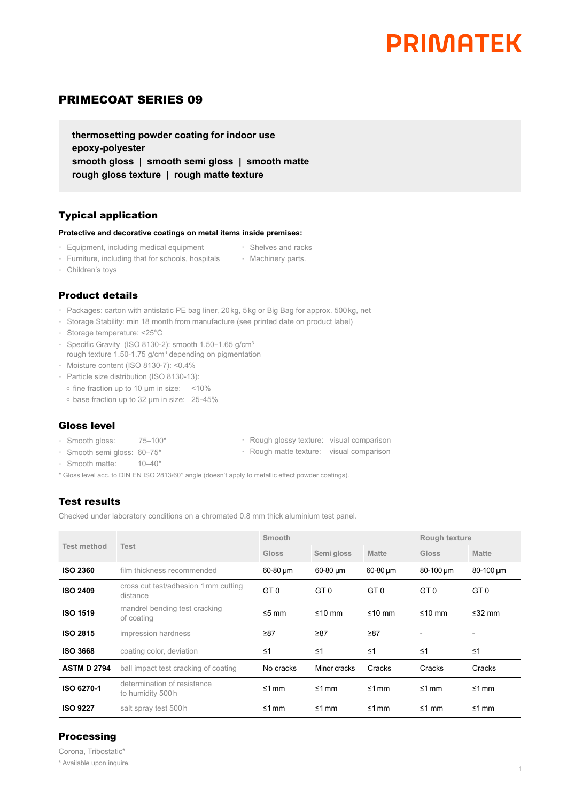## **PRIMATEK**

### PRIMECOAT SERIES 09

**thermosetting powder coating for indoor use epoxy-polyester smooth gloss | smooth semi gloss | smooth matte rough gloss texture | rough matte texture** 

#### Typical application

#### **Protective and decorative coatings on metal items inside premises:**

- · Equipment, including medical equipment
- · Shelves and racks
- · Furniture, including that for schools, hospitals · Machinery parts.
- · Children's toys

#### Product details

- · Packages: carton with antistatic PE bag liner, 20kg, 5kg or Big Bag for approx. 500kg, net
- · Storage Stability: min 18 month from manufacture (see printed date on product label)
- · Storage temperature: <25°C
- · Specific Gravity (ISO 8130-2): smooth 1.50-1.65 g/cm<sup>3</sup>
- rough texture 1.50-1.75 g/cm<sup>3</sup> depending on pigmentation
- · Moisture content (ISO 8130-7): <0.4%
- · Particle size distribution (ISO 8130-13):
	- o fine fraction up to 10 µm in size: <10%
- o base fraction up to 32 um in size: 25-45%

#### Gloss level

- · Smooth gloss: 75–100\*
- · Rough glossy texture: visual comparison · Rough matte texture: visual comparison
- · Smooth semi gloss: 60–75\*
- · Smooth matte: 10–40\*
- \* Gloss level acc. to DIN EN ISO 2813/60° angle (doesn't apply to metallic effect powder coatings).

#### Test results

Checked under laboratory conditions on a chromated 0.8 mm thick aluminium test panel.

| <b>Test method</b> | <b>Test</b>                                      | Smooth          |              |               | Rough texture  |                              |
|--------------------|--------------------------------------------------|-----------------|--------------|---------------|----------------|------------------------------|
|                    |                                                  | <b>Gloss</b>    | Semi gloss   | <b>Matte</b>  | <b>Gloss</b>   | <b>Matte</b>                 |
| <b>ISO 2360</b>    | film thickness recommended                       | 60-80 um        | 60-80 um     | $60-80 \mu m$ | 80-100 um      | 80-100 um                    |
| <b>ISO 2409</b>    | cross cut test/adhesion 1 mm cutting<br>distance | GT <sub>0</sub> | GT 0         | GT 0          | GT 0           | GT <sub>0</sub>              |
| <b>ISO 1519</b>    | mandrel bending test cracking<br>of coating      | $\leq 5$ mm     | ≤10 mm       | ≤10 mm        | ≤10 mm         | ≤32 mm                       |
| <b>ISO 2815</b>    | impression hardness                              | $\geq 87$       | $\geq 87$    | $\geq 87$     | $\overline{a}$ | $\qquad \qquad \blacksquare$ |
| <b>ISO 3668</b>    | coating color, deviation                         | $\leq 1$        | $\leq 1$     | $\leq 1$      | $\leq 1$       | $\leq 1$                     |
| <b>ASTM D 2794</b> | ball impact test cracking of coating             | No cracks       | Minor cracks | Cracks        | Cracks         | Cracks                       |
| ISO 6270-1         | determination of resistance<br>to humidity 500h  | $\leq 1$ mm     | $\leq 1$ mm  | $\leq 1$ mm   | $\leq 1$ mm    | $\leq 1$ mm                  |
| <b>ISO 9227</b>    | salt spray test 500 h                            | $\leq 1$ mm     | $\leq 1$ mm  | $\leq 1$ mm   | $\leq 1$ mm    | $\leq 1$ mm                  |

#### **Processing**

Corona, Tribostatic\* \* Available upon inquire.